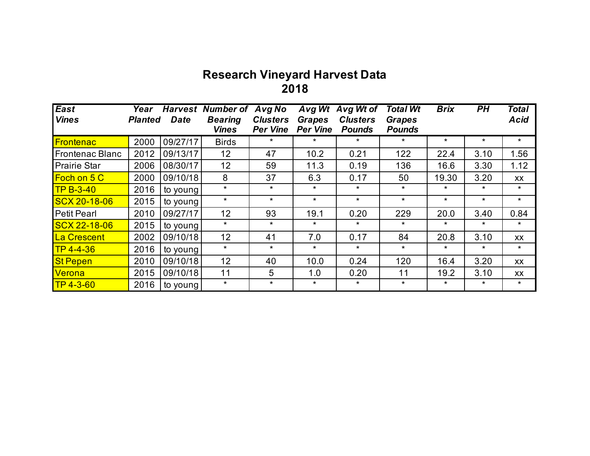## **Research Vineyard Harvest Data 2018**

| East                   | Year           |             | <b>Harvest Number of</b>       | Avg No                             | Avg Wt                           | Avg Wt of                        | <b>Total Wt</b>                | <b>Brix</b> | <b>PH</b> | <b>Total</b> |
|------------------------|----------------|-------------|--------------------------------|------------------------------------|----------------------------------|----------------------------------|--------------------------------|-------------|-----------|--------------|
| <b>Vines</b>           | <b>Planted</b> | <b>Date</b> | <b>Bearing</b><br><b>Vines</b> | <b>Clusters</b><br><b>Per Vine</b> | <b>Grapes</b><br><b>Per Vine</b> | <b>Clusters</b><br><b>Pounds</b> | <b>Grapes</b><br><b>Pounds</b> |             |           | <b>Acid</b>  |
| <b>Frontenac</b>       | 2000           | 09/27/17    | <b>Birds</b>                   | $\star$                            | $\star$                          | $\star$                          | $\star$                        | $\star$     | $\star$   | $\star$      |
| <b>Frontenac Blanc</b> | 2012           | 09/13/17    | 12 <sup>2</sup>                | 47                                 | 10.2                             | 0.21                             | 122                            | 22.4        | 3.10      | 1.56         |
| <b>Prairie Star</b>    | 2006           | 08/30/17    | 12                             | 59                                 | 11.3                             | 0.19                             | 136                            | 16.6        | 3.30      | 1.12         |
| <b>Foch on 5 C</b>     | 2000           | 09/10/18    | 8                              | 37                                 | 6.3                              | 0.17                             | 50                             | 19.30       | 3.20      | <b>XX</b>    |
| $TPB-3-40$             | 2016           | to young    | $\star$                        | $\star$                            | $\star$                          | $\star$                          | $\star$                        | $\star$     | $\star$   | $\star$      |
| <b>SCX 20-18-06</b>    | 2015           | to young    | $\star$                        | $\star$                            | $\star$                          | $\star$                          | $\star$                        | $\star$     | $\star$   | $\star$      |
| <b>Petit Pearl</b>     | 2010           | 09/27/17    | 12                             | 93                                 | 19.1                             | 0.20                             | 229                            | 20.0        | 3.40      | 0.84         |
| <b>SCX 22-18-06</b>    | 2015           | to young    | $\star$                        | $\star$                            | $\star$                          | $\star$                          | $\star$                        | $\star$     | $\star$   | $\star$      |
| La Crescent            | 2002           | 09/10/18    | 12                             | 41                                 | 7.0                              | 0.17                             | 84                             | 20.8        | 3.10      | <b>XX</b>    |
| $TP 4 - 4 - 36$        | 2016           | to young    | $\star$                        | $\star$                            | $\star$                          | $\star$                          | $\star$                        | $\star$     | $\star$   | $\star$      |
| <b>St Pepen</b>        | 2010           | 09/10/18    | 12                             | 40                                 | 10.0                             | 0.24                             | 120                            | 16.4        | 3.20      | <b>XX</b>    |
| <b>Verona</b>          | 2015           | 09/10/18    | 11                             | 5                                  | 1.0                              | 0.20                             | 11                             | 19.2        | 3.10      | XX           |
| $TP 4 - 3 - 60$        | 2016           | to young    | $\star$                        | $\star$                            | $\star$                          | $\star$                          | $\star$                        | $\ast$      | $\star$   | $\star$      |